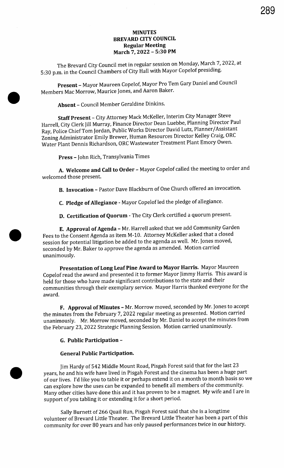# MINUTES BREVARD CITY COUNCIL Regular Meeting March 7, 2022 - 5:30 PM

The Brevard City Council met in regular session on Monday, March 7, 2022, at 5: 30 p.m. in the Council Chambers of City Hall with Mayor Copelof presiding.

Present - Mayor Maureen Copelof, Mayor Pro Tem Gary Daniel and Council Members Mac Morrow, Maurice Jones, and Aaron Baker.

Absent - Council Member Geraldine Dinkins.

Staff Present - City Attorney Mack McKeller, Interim City Manager Steve Harrell, City Clerk Jill Murray, Finance Director Dean Luebbe, Planning Director Paul Ray, Police Chief Tom Jordan, Public Works Director David Lutz, Planner/ Assistant Zoning Administrator Emily Brewer, Human Resources Director Kelley Craig, ORC Water Plant Dennis Richardson, ORC Wastewater Treatment Plant Emory Owen.

Press - John Rich, Transylvania Times

A. Welcome and Call to Order - Mayor Copelof called the meeting to order and welcomed those present.

B. Invocation - Pastor Dave Blackburn of One Church offered an invocation.

C. Pledge of Allegiance - Mayor Copelof led the pledge of allegiance.

D. Certification of Quorum - The City Clerk certified <sup>a</sup> quorum present.

E. Approval of Agenda - Mr. Harrell asked that we add Community Garden Fees to the Consent Agenda as item M- 10. Attorney McKeller asked that a closed session for potential litigation be added to the agenda as well. Mr. Jones moved, seconded by Mr. Baker to approve the agenda as amended. Motion carried unanimously.

Presentation of Long Leaf Pine Award to Mayor Harris. Mayor Maureen Copelof read the award and presented it to former Mayor Jimmy Harris. This award is held for those who have made significant contributions to the state and their communities through their exemplary service. Mayor Harris thanked everyone for the award.

F. Approval of Minutes - Mr. Morrow moved, seconded by Mr. Jones to accept the minutes from the February 7, 2022 regular meeting as presented. Motion carried unanimously. Mr. Morrow moved, seconded by Mr. Daniel to accept the minutes from the February 23, 2022 Strategic Planning Session. Motion carried unanimously.

### G. Public Participation -

### General Public Participation.

Jim Hardy of 542 Middle Mount Road, Pisgah Forest said that for the last 23 years, he and his wife have lived in Pisgah Forest and the cinema has been a huge part of our lives. I'd like you to table it or perhaps extend it on a month to month basis so we can explore how the uses can be expanded to benefit all members of the community. Many other cities have done this and it has proven to be a magnet. My wife and I are in support of you tabling it or extending it for <sup>a</sup> short period.

Sally Burnett of 266 Quail Run, Pisgah Forest said that she is a longtime volunteer of Brevard Little Theater. The Brevard Little Theater has been a part of this community for over 80 years and has only paused performances twice in our history.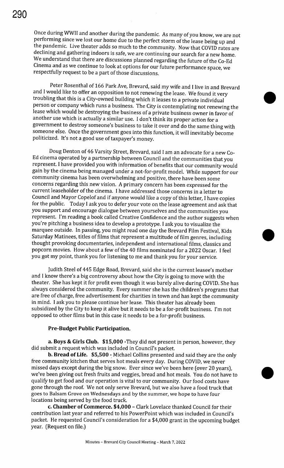Once during WWII and another during the pandemic. As many of you know, we are not performing since we lost our home due to the perfect storm of the lease being up and the pandemic. Live theater adds so much to the community. Now that COVID rates are declining and gathering indoors is safe,.we are continuing our search for a new home. We understand that there are discussions planned regarding the future of the Co-Ed Cinema and as we continue to look at options for our future performance space, we respectfully request to be a part of those discussions.

Peter Rosenthal of 166 Park Ave, Brevard, said my wife and I live in and Brevard and I would like to offer an opposition to not renewing the lease. We found it very troubling that this is <sup>a</sup> City -owned building which it leases to a private individual person or company which runs a business. The City is contemplating not renewing the lease which would be destroying the business of a private business owner in favor of another use which is actually <sup>a</sup> similar use. I don't think its proper action for <sup>a</sup> government to destroy someone's business to take it over and do the same thing with someone else. Once the government goes into this function, it will inevitably become politicized. It's not a good use of taxpayer's money.

Doug Denton of 46 Varsity Street, Brevard, said I am an advocate for a new Co-Ed cinema operated by a partnership between Council and the communities that you represent. I have provided you with information of benefits that our community would gain by the cinema being managed under a not-for-profit model. While support for our community cinema has been overwhelming and positive, there have been some concerns regarding this new vision. A primary concern has been expressed for the current leaseholder of the cinema. I have addressed those concerns in a letter to Council and Mayor Copelof and if anyone would like <sup>a</sup> copy of this letter, I have copies for the public. Today <sup>I</sup> ask you to defer your vote on the lease agreement and ask that you support and encourage dialogue between yourselves and the communities you represent. I'm reading a book called Creative Confidence and the author suggests when you're pitching a business idea to develop a prototype. I ask you to visualize the marquee outside. In passing, you might read one day the Brevard Film Festival, Kids Saturday Matinees, titles of films that represent a multitude of film genres, including thought provoking documentaries, independent and international films, classics and popcorn movies. How about <sup>a</sup> few of the 40 films nominated for a 2022 Oscar. I feel you got my point, thank you for listening to me and thank you for your service.

Judith Steel of 445 Edge Road, Brevard, said she is the current leasee's mother and I know there's a big controversy about how the City is going to move with the theater. She has kept it for profit even though it was barely alive during COVID. She has always considered the community. Every summer she has the children's programs that are free of charge, free advertisement for charities in town and has kept the community in mind. I ask you to please continue her lease. This theater has already been subsidized by the City to keep it alive but it needs to be a for-profit business. I'm not opposed to other films but in this case it needs to be <sup>a</sup> for-profit business.

### Pre -Budget Public Participation.

a. Boys & Girls Club. \$15,000 - They did not present in person, however, they did submit a request which was included in Council's packet.

b. Bread of Life. \$5,500 - Michael Collins presented and said they are the only free community kitchen that serves hot meals every day. During COVID, we never missed days except during the big snow. Ever since we've been here (over 20 years), we've been giving out fresh fruits and veggies, bread and hot meals. You do not have to qualify to get food and our operation is vital to our community. Our food costs have gone through the roof. We not only serve Brevard, but we also have a food truck that goes to Balsam Grove on Wednesdays and by the summer, we hope to have four locations being served by the food truck.

c. Chamber of Commerce. \$4,000 - Clark Lovelace thanked Council for their contribution last year and referred to his PowerPoint which was included in Council' <sup>s</sup> packet. He requested Council's consideration for a \$4,000 grant in the upcoming budget year. (Request on file.)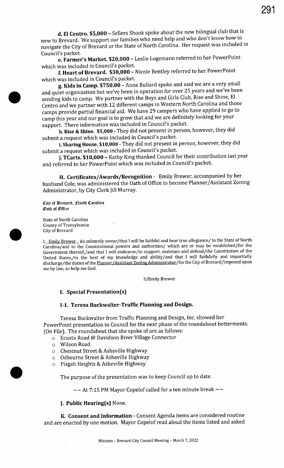d. El Centro. \$5,000 - Sellers Shook spoke about the new bilingual club that is new to Brevard. We support our families who need help and who don't know how to navigate the City of Brevard or the State of North Carolina. Her request was included in Council's packet.

e. Farmer's Market. \$20,000 - Leslie Logemann referred to her PowerPoint which was included in Council's packet.

f. Heart of Brevard. \$30,000 - Nicole Bentley referred to her PowerPoint which was included in Council's packet.

g. Kids in Camp. \$750.00 - Anne Bullard spoke and said we are a very small and quiet organization but we've been in operation for over 25 years and we've been sending kids to camp. We partner with the Boys and Girls Club, Rise and Shine, El Centro and we partner with 12 different camps in Western North Carolina and those camps provide partial financial aid. We have 29 campers who have applied to go to camp this year and our goal is to grow that and we are definitely looking for your support. There information was included in Council's packet.

h. Rise & Shine. \$5,000 - They did not present in person, however, they did submit a request which was included in Council's packet.

i. Sharing House. \$10,000 - They did not present in person, however, they did submit a request which was included in Council's packet.

j. TCarts. \$10,000 - Kathy King thanked Council for their contribution last year and referred to her PowerPoint which was included in Council's packet.

H. Certificates/ Awards/ Recognition - Emily Brewer, accompanied by her husband Cole, was administered the Oath of Office to become Planner/ Assistant Zoning Administrator, by City Clerk Jill Murray.

City of Brebard, Borth Carolina *Oath of Office* 

State of North Carolina County of Transylvania City of Brevard

I, Emily Brewer, do solemnly swear/that I will be faithful and bear true allegiance/ to the State of North Carolina/ and to the Constitutional powers and authorities/ which are or may be established/ for the Government thereof;/and that I will endeavor/to support, maintain and defend/the Constitution of the United States,/to the best of my knowledge and ability/and that I will faithfully and impartially discharge/ the duties of the Planner/Assistant Zoning Administrator/ for the City of Brevard/ imposed upon me by law, so help me God.

S/Emily Brewer

## I. Special Presentation(s)

### I-1. Teresa Buckwalter-Traffic Planning and Design.

Teresa Buckwalter from Traffic Planning and Design, Inc. showed her PowerPoint presentation to Council for the next phase of the roundabout betterments. On File). The roundabout that she spoke of are as follows:

o Ecusta Road @ Davidson River Village Connector

- o Wilson Road
- o Chestnut Street & Asheville Highway
- o Osbourne Street & Asheville Highway
- o Pisgah Heights & Asheville Highway

The purpose of the presentation was to keep Council up to date.

 $\sim$  At 7:15 PM Mayor Copelof called for a ten minute break  $\sim$ 

### J. Public Hearing(s) None.

K. Consent and Information - Consent Agenda items are considered routine and are enacted by one motion. Mayor Copelof read aloud the items listed and asked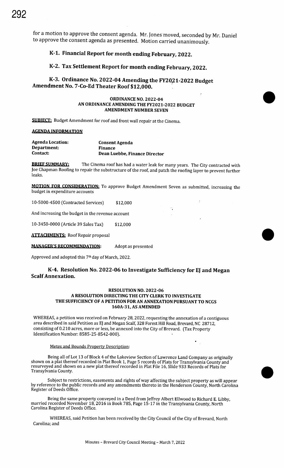for a motion to approve the consent agenda. Mr. Jones moved, seconded by Mr. Daniel to approve the consent agenda as presented. Motion carried unanimously.

# K-1. Financial Report for month ending February, 2022.

# K-2. Tax Settlement Report for month ending February, 2022.

K-3. Ordinance No. 2022-04 Amending the FY2021-2022 Budget Amendment No. 7 -Co -Ed Theater Roof \$12,000.

### **ORDINANCE NO. 2022-04** AN ORDINANCE AMENDING THE FY2021-2022 BUDGET AMENDMENT NUMBER SEVEN

SUBIECT: Budget Amendment for roof and front wall repair at the Cinema.

### AGENDA INFORMATION

| <b>Agenda Location:</b> | <b>Consent Agenda</b>         |
|-------------------------|-------------------------------|
| Department:             | <b>Finance</b>                |
| Contact:                | Dean Luebbe, Finance Director |

**BRIEF SUMMARY:** The Cinema roof has had a water leak for many years. The City contracted with Joe Chapman Roofing to repair the substructure of the roof, and patch the roofing layer to prevent further leaks.

MOTION FOR CONSIDERATION: To approve Budget Amendment Seven as submitted, increasing the budget in expenditure accounts

÷.

 $\overline{\mathcal{C}}$ 

10-5000-4500 (Contracted Services) \$12,000

And increasing the budget in the revenue account

10-3450-0000 (Article 39 Sales Tax) \$12,000

**ATTACHMENTS:** Roof Repair proposal

**MANAGER'S RECOMMENDATION:** Adopt as presented

Approved and adopted this 7th day of March, 2022.

### K-4. Resolution No. 2022-06 to Investigate Sufficiency for EJ and Megan ScalfAnnexation.

### RESOLUTION NO. 2022-06 A RESOLUTION DIRECTING THE CITY CLERK TO INVESTIGATE THE SUFFICIENCY OF A PETITION FOR AN ANNEXATION PURSUANT TO NCGS 160A-31, AS AMENDED

WHEREAS, a petition was received on February 28, 2022, requesting the annexation of a contiguous area described in said Petition as EJ and Megan Scalf, 328 Forest Hill Road, Brevard, NC 28712, consisting of 0.210 acres, more or less, be annexed into the City of Brevard. (Tax Property Identification Number: 8585-25-8542-000).

### Metes and Bounds Property Description:

Being all of Lot 13 of Block 4 of the Lakeview Section of Lawrence Land Company as originally shown on <sup>a</sup> plat thereof recorded in Plat Book 1, Page <sup>5</sup> records of Plats for Transylvania County and resurveyed and shown on a new plat thereof recorded in Plat File 16, Slide 933 Records of Plats for Transylvania County. •

Subject to restrictions, easements and rights of way affecting the subject property as will appear by reference to the public records and any amendments thereto in the Henderson County, North Carolina Register of Deeds Office.

Being the same property conveyed in a Deed from Jeffrey Albert Ellwood to Richard E. Libby, married recorded November 18, 2016 in Book 785, Page 15- 17 in the Transylvania County, North Carolina Register of Deeds Office.

WHEREAS, said Petition has been received by the City Council of the City of Brevard, North Carolina; and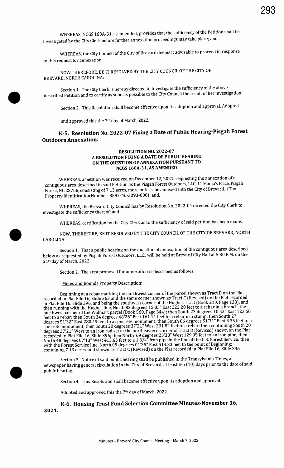WHEREAS, NCGS 160A-31, as amended, provides that the sufficiency of the Petition shall be investigated by the City Clerk before further annexation proceedings may take place; and

WHEREAS, the City Council of the City of Brevard deems it advisable to proceed in response to this request for annexation.

NOW THEREFORE, BE IT RESOLVED BY THE CITY COUNCIL OF THE CITY OF BREVARD, NORTH CAROLINA:

Section 1. The City Clerk is hereby directed to investigate the sufficiency of the above described Petition and to certify as soon as possible to the City Council the result of her investigation.

Section 2. This Resolution shall become effective upon its adoption and approval. Adopted

and approved this the 7th day of March, 2022.

# K-5. Resolution No. 2022-07 Fixing a Date of Public Hearing-Pisgah Forest Outdoors Annexation.

### RESOLUTION NO. 2022-07 A RESOLUTION FIXING A DATE OF PUBLIC HEARING ON THE QUESTION OF ANNEXATION PURSUANT TO NCGS 160A-31, AS AMENDED

WHEREAS, a petition was received on December 12, 2021, requesting the annexation of a contiguous area described in said Petition as the Pisgah Forest Outdoors, LLC, 11 Mama's Place, Pisgah Forest, NC 28768, consisting of 7. <sup>13</sup> acres, more or less, be annexed into the City of Brevard. ( Tax Property Identification Number: 8597-46-3093-000); and,

WHEREAS, the Brevard City Council has by Resolution No. 2022- 04 directed the City Clerk to investigate the sufficiency thereof; and

WHEREAS, certification by the City Clerk as to the sufficiency of said petition has been made.

NOW, THEREFORE, BE IT RESOLVED BY THE CITY COUNCIL OF THE CITY OF BREVARD, NORTH CAROLINA:

Section 1. That a public hearing on the question of annexation of the contiguous area described below as requested by Pisgah Forest Outdoors, LLC., will be held at Brevard City Hall at 5:30 P.M. on the 21st day of March, 2022.

Section 2. The area proposed for annexation is described as follows:

Metes and Bounds Property Description:

Beginning at a rebar marking the northwest corner of the parcel shown as Tract D on the Plat recorded in Plat File 16, Slide 363 and the same corner shown as Tract C ( Revised) on the Plat recorded in Plat File 16, Slide 396, and being the southwest corner of the Hughes Tract (Book 210, Page 133), and then running with the Hughes line, North 82 degrees 15'03" East 222.20 feet to a rebar 10'East 1.02. northwest corner of the Walmart parcel (Book 560, Page 344); then South 23 degrees 10'52" East 123.60 feet to a rebar; then South 34 degrees 48'26" East 161.11 feet to a rebar in a stump; then South  $27\,$ degrees 51'32" East 280.49 feet to a concrete monument; then South 06 degrees 51'31" East 8.35 feet to a concrete monument; then South 20 degrees 37'21" West 231.82 feet to a rebar; then continuing South 20 degrees 37'21" West to an iron rod set at the northeastern corner of Tract D (Revised) shown on the Plat recorded in Plat File 16, Slide 396; then North 69 degrees 23' 38" West 129.95 feet to an iron pipe; then North 48 degrees 07'13" West 413.65 feet to a 1 3/4" iron pipe in the line of the U.S. Forest Service; then with the Forest Service line, North 05 degrees 01'25" East 514.33 feet to the point of Beginning; containing 7. 13 acres, and shown as Tract C ( Revised) on the Plat recorded in Plat File 16, Slide 396.

Section 3. Notice of said public hearing shall be published in the Transylvania Times, a newspaper having general circulation in the City of Brevard, at least ten ( 10) days prior to the date of said public hearing.

Section 4. This Resolution shall become effective upon its adoption and approval.

Adopted and approved this the 7<sup>th</sup> day of March, 2022.

2021. K-6. Housing Trust Fund Selection Committee Minutes -November 16,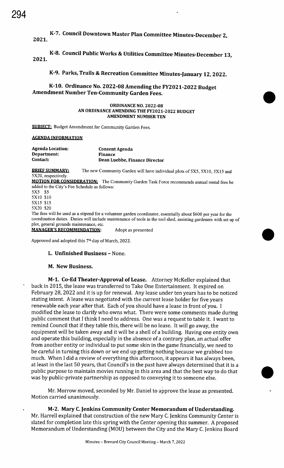K-7. Council Downtown Master Plan Committee Minutes -December 2,

2021.

2021. K-8. Council Public Works & Utilities Committee Minutes -December 13,

K-9. Parks, Trails & Recreation Committee Minutes -January 12, 2022.

K-10. Ordinance No. 2022-08 Amending the FY2021-2022 Budget Amendment Number Ten -Community Garden Fees.

### **ORDINANCE NO. 2022-08** AN ORDINANCE AMENDING THE FY2021-2022 BUDGET AMENDMENT NUMBER TEN

**SUBIECT:** Budget Amendment for Community Garden Fees.

### **AGENDA INFORMATION**

| <b>Agenda Location:</b><br>Department:<br>Contact: | <b>Consent Agenda</b><br><b>Finance</b>                                                                                                                                                                                               |
|----------------------------------------------------|---------------------------------------------------------------------------------------------------------------------------------------------------------------------------------------------------------------------------------------|
|                                                    | Dean Luebbe, Finance Director                                                                                                                                                                                                         |
| <b>BRIEF SUMMARY:</b><br>5X20, respectively.       | The new Community Garden will have individual plots of 5X5, 5X10, 5X15 and                                                                                                                                                            |
|                                                    | <b>MOTION FOR CONSIDERATION:</b> The Community Garden Task Force recommends annual rental fees be                                                                                                                                     |
| added to the City's Fee Schedule as follows:       |                                                                                                                                                                                                                                       |
| 5X5 \$5                                            |                                                                                                                                                                                                                                       |
| 5X10 \$10                                          |                                                                                                                                                                                                                                       |
| 5X15 \$15                                          |                                                                                                                                                                                                                                       |
| 5X20 \$20                                          |                                                                                                                                                                                                                                       |
|                                                    | The fees will be used as a stipend for a volunteer garden coordinator, essentially about \$600 per year for the<br>coordination duties. Duties will include maintenance of tools in the tool shed, assisting gardeners with set up of |

plot, general grounds maintenance, etc. MANAGER'S RECOMMENDATION: Adopt as presented

Approved and adopted this 7<sup>th</sup> day of March, 2022.

## L. Unfinished Business - None.

## M. New Business.

M-1. Co-Ed Theater-Approval of Lease. Attorney McKeller explained that back in 2015, the lease was transferred to Take One Entertainment. It expired on February 28, 2022 and it is up for renewal. Any lease under ten years has to be noticed stating intent. A lease was negotiated with the current lease holder for five years renewable each year after that. Each of you should have <sup>a</sup> lease in front of you. I modified the lease to clarify who owns what. There were some comments made during public comment that <sup>I</sup> think <sup>I</sup> need to address. One was <sup>a</sup> request to table it. I want to remind Council that if they table this, there will be no lease. It will go away, the equipment will be taken away and it will be <sup>a</sup> shell of <sup>a</sup> building. Having one entity own and operate this building, especially in the absence of a contrary plan, an actual offer from another entity or individual to put some skin in the game financially, we need to be careful in turning this down or we end up getting nothing because we grabbed too much. When <sup>I</sup> did <sup>a</sup> review of everything this afternoon, it appears it has always been, at least in the last 50 years, that Council's in the past have always determined that it is a public purpose to maintain movies running in this area and that the best way to do that • was by public-private partnership as opposed to conveying it to someone else.

Mr. Morrow moved, seconded by Mr. Daniel to approve the lease as presented. Motion carried unanimously.

M-2. Mary C. Jenkins Community Center Memorandum of Understanding. Mr. Harrell explained that construction of the new Mary C. Jenkins Community Center is slated for completion late this spring with the Center opening this summer. A proposed Memorandum of Understanding (MOU) between the City and the Mary C. Jenkins Board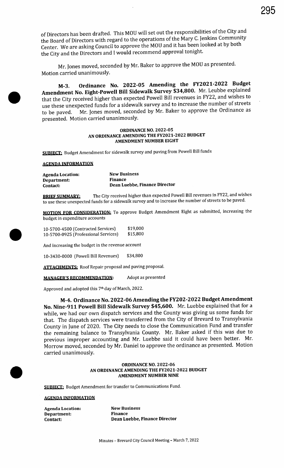of Directors has been drafted. This MOU will set out the responsibilities of the City and the Board of Directors with regard to the operations of the Mary C. Jenkins Community Center. We are asking Council to approve the MOU and it has been looked at by both the City and the Directors and I would recommend approval tonight.

Mr. Jones moved, seconded by Mr. Baker to approve the MOU as presented. Motion carried unanimously.

M-3. Ordinance No. 2022-05 Amending the FY2021-2022 Budget Amendment No. Eight-Powell Bill Sidewalk Survey \$34,800. Mr. Leubbe explained that the City received higher than expected Powell Bill revenues in FY22, and wishes to use these unexpected funds for a sidewalk survey and to increase the number of streets to be paved. Mr. Jones moved, seconded by Mr. Baker to approve the Ordinance as presented. Motion carried unanimously.

### **ORDINANCE NO. 2022-05** AN ORDINANCE AMENDING THE FY2021-2022 BUDGET AMENDMENT NUMBER EIGHT

**SUBJECT:** Budget Amendment for sidewalk survey and paving from Powell Bill funds

#### **AGENDA INFORMATION**

i

Agenda Location: New Business Department: Finance Contact: Dean Luebbe, Finance Director

**BRIEF SUMMARY:** The City received higher than expected Powell Bill revenues in FY22, and wishes to use these unexpected funds for a sidewalk survey and to increase the number of streets to be paved.

MOTION FOR CONSIDERATION: To approve Budget Amendment Eight as submitted, increasing the budget in expenditure accounts

| 10-5700-4500 (Contracted Services)   | \$19,000 |
|--------------------------------------|----------|
| 10-5700-0925 (Professional Services) | \$15,800 |

And increasing the budget in the revenue account

10- 3430- 0000 ( Powell Bill Revenues) \$ 34,800

**ATTACHMENTS:** Roof Repair proposal and paving proposal.

MANAGER'S RECOMMENDATION: Adopt as presented

Approved and adopted this 7th day of March, 2022.

M-4. Ordinance No. 2022-06 Amending the FY202-2022 Budget Amendment No. Nine-911 Powell Bill Sidewalk Survey \$45,600. Mr. Luebbe explained that for a while, we had our own dispatch services and the County was giving us some funds for that. The dispatch services were transferred from the City of Brevard to Transylvania County in June of 2020. The City needs to close the Communication Fund and transfer the remaining balance to Transylvania County. Mr. Baker asked if this was due to previous improper accounting and Mr. Luebbe said it could have been better. Mr. Morrow moved, seconded by Mr. Daniel to approve the ordinance as presented. Motion carried unanimously.

# ORDINANCE NO. 2022- 06 AN ORDINANCE AMENDING THE FY2021-2022 BUDGET<br>AMENDMENT NUMBER NINE

**SUBIECT:** Budget Amendment for transfer to Communications Fund.

#### **AGENDA INFORMATION**

Agenda Location: New Business Department: Finance

Contact: Dean Luebbe, Finance Director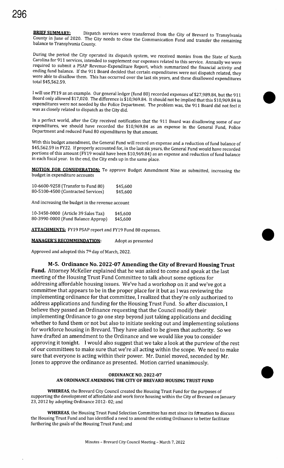**BRIEF SUMMARY:** Dispatch services were transferred from the City of Brevard to Transylvania County in June of 2020. The City needs to close the Communication Fund and transfer the remaining balance to Transylvania County.

During the period the City operated its dispatch system, we received monies from the State of North Carolina for 911 services, intended to supplement our expenses related to this service. Annually we were required to submit a PSAP Revenue -Expenditure Report, which summarized the financial activity and ending fund balance. If the 911 Board decided that certain expenditures were not dispatch related, they were able to disallow them. This has occurred over the last six years, and these disallowed expenditures total \$45,562. 59.

I will use FY19 as an example. Our general ledger (fund 80) recorded expenses of \$27,989.84, but the 911 Board only allowed \$17,020. The difference is \$ 10, 969.84. It should not be implied that this \$10,969.84 in expenditures were not needed by the Police Department. The problem was, the 911 Board did not feel it was as closely related to dispatch as the City did.

In a perfect world, after the City received notification that the 911 Board was disallowing some of our expenditures, we should have recorded the \$10,969.84 as an expense in the General Fund, Police Department and reduced Fund 80 expenditures by that amount.

With this budget amendment, the General Fund will record an expense and <sup>a</sup> reduction of fund balance of 45,562. 59 in FY22. If properly accounted for, in the last six years, the General Fund would have recorded portions of this amount (FY19 would have been \$10,969.84) as an expense and reduction of fund balance in each fiscal year. In the end, the City ends up in the same place.

**MOTION FOR CONSIDERATION:** To approve Budget Amendment Nine as submitted, increasing the budget in expenditure accounts

10-6600-9258 (Transfer to Fund 80) \$45,600 80- 5100- 4500 (Contracted Services) \$45,600

And increasing the budget in the revenue account

10-3450-0000 (Article 39 Sales Tax) \$45,600 80-3990-0000 (Fund Balance Approp) \$45,600

ATTACHMENTS: FY19 PSAP report and FY19 Fund 80 expenses.<br>MANAGER'S RECOMMENDATION: Adopt as presented

Approved and adopted this 7<sup>th</sup> day of March, 2022.

M-5. Ordinance No. 2022-07 Amending the City of Brevard Housing Trust Fund. Attorney McKeller explained that he was asked to come and speak at the last meeting of the Housing Trust Fund Committee to talk about some options for addressing affordable housing issues. We've had a workshop on it and we've got a committee that appears to be in the proper place for it but as <sup>I</sup> was reviewing the implementing ordinance for that committee, I realized that they're only authorized to address applications and funding for the Housing Trust Fund. So after discussion, I believe they passed an Ordinance requesting that the Council modify their implementing Ordinance to go one step beyond just taking applications and deciding whether to fund them or not but also to initiate seeking out and implementing solutions for workforce housing in Brevard. They have asked to be given that authority. So we have drafted an amendment to the Ordinance and we would like you to consider approving it tonight. I would also suggest that we take <sup>a</sup> look at the purview of the rest of our committees to make sure that we're all acting within the scope. We need to make sure that everyone is acting within their power. Mr. Daniel moved, seconded by Mr. Jones to approve the ordinance as presented. Motion carried unanimously.

#### AN ORDINANCE AMENDING THE CITY OF BREVARD HOUSING TRUST FUND ORDINANCE NO. 2022- 07

 $\bullet$ 

WHEREAS, the Brevard City Council created the Housing Trust Fund for the purposes of supporting the development of affordable and work force housing within the City of Brevard on January 23, 2012 by adopting Ordinance 2012- 02; and

WHEREAS, the Housing Trust Fund Selection Committee has met since its formation to discuss the Housing Trust Fund and has identified a need to amend the existing Ordinance to better facilitate furthering the goals of the Housing Trust Fund; and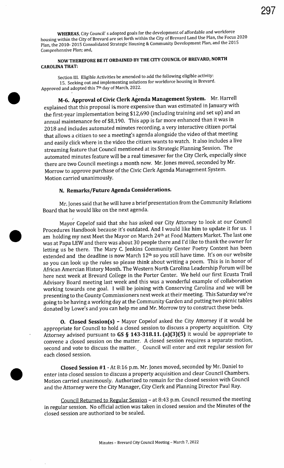WHEREAS, City Council' <sup>s</sup> adopted goals for the development of affordable and workforce housing within the City of Brevard are set forth within the City of Brevard Land Use Plan, the Focus 2020 Plan, the 2010- 2015 Consolidated Strategic Housing & Community Development Plan, and the 2015 Comprehensive Plan; and,

# NOW THEREFORE BE IT ORDAINED BY THE CITY COUNCIL OF BREVARD, NORTH CAROLINA THAT:

Section III. Eligible Activities be amended to add the following eligible activity: 15. Seeking out and implementing solutions for workforce housing in Brevard. Approved and adopted this 7th day of March, 2022.

M-6. Approval of Civic Clerk Agenda Management System. Mr. Harrell explained that this proposal is. more expensive than was estimated in January with the first-year implementation being \$12,690 ( including training and set up) and an annual maintenance fee of \$8, 190. This app is far more enhanced than it was in 2018 and includes automated minutes recording, a very interactive citizen portal that allows a citizen to see a meeting's agenda alongside the video of that meeting and easily click where in the video the citizen wants to watch. It also includes <sup>a</sup> live streaming feature that Council mentioned at its Strategic Planning Session. The automated minutes feature will be <sup>a</sup> real timesaver for the City Clerk, especially since there are two Council meetings a month now. Mr. Jones moved, seconded by Mr. Morrow to approve purchase of the Civic Clerk Agenda Management System. Motion carried unanimously.

# N. Remarks/ Future Agenda Considerations.

Mr. Jones said that he will have <sup>a</sup> brief presentation from the Community Relations Board that he would like on the next agenda.

Mayor Copelof said that she has- asked our City Attorney to look at our Council Procedures Handbook because it's outdated. And <sup>I</sup> would like him to update it for us. <sup>I</sup> am holding my next Meet the Mayor on March 24th at Food Matters Market. The last one was at Papa LEW and there was about 30 people there and I'd like to thank the owner for letting us be there. The Mary C. Jenkins Community Center Poetry Contest has been extended and the deadline is now March 12<sup>th</sup> so you still have time. It's on our website so you can look up the rules so please think about writing <sup>a</sup> poem. This is in honor of African Amercian History Month. The Western North Carolina Leadership Forum will be here next week at Brevard College in the Porter Center. We held our first Ecusta Trail Advisory Board meeting last week and this was a wonderful example of collaboration working towards one goal. <sup>I</sup> will be joining with Conserving Carolina and we will be presenting to the County Commissioners next week at their meeting. This Saturday we're going to be having a working day at the Community Garden and putting two picnic tables donated by Lowe's and you can help me and Mr. Morrow try to construct these beds.

O. Closed Session(s) - Mayor Copelof asked the City Attorney if it would be appropriate for Council to hold a closed session to discuss <sup>a</sup> property acquisition. City Attorney advised pursuant to  $GS \$  143-318.11.  $(a)(3)(5)$  it would be appropriate to convene a closed session on the matter. A closed session requires a separate motion, second and vote to discuss the matter. Council will enter and exit regular session for each closed session.

Closed Session #1 - At 8:16 p.m. Mr. Jones moved, seconded by Mr. Daniel to enter into closed session to discuss a property acquisition and clear Council Chambers. Motion carried unanimously. Authorized to remain for the closed session with Council and the Attorney were the City Manager, City Clerk and Planning Director Paul Ray.

Council Returned to Regular Session - at 8:43 p.m. Council resumed the meeting in regular session. No official action was taken in closed session and the Minutes of the closed session are authorized to be sealed.